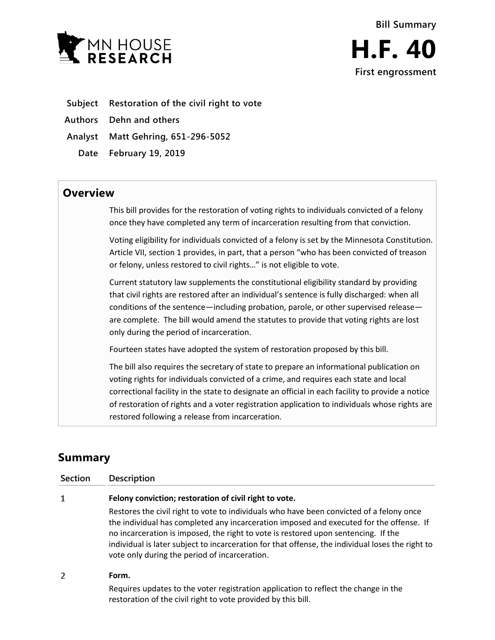

- **Subject Restoration of the civil right to vote**
- **Authors Dehn and others**
- **Analyst Matt Gehring, 651-296-5052**
	- **Date February 19, 2019**

## **Overview**

This bill provides for the restoration of voting rights to individuals convicted of a felony once they have completed any term of incarceration resulting from that conviction.

Voting eligibility for individuals convicted of a felony is set by the Minnesota Constitution. Article VII, section 1 provides, in part, that a person "who has been convicted of treason or felony, unless restored to civil rights…" is not eligible to vote.

Current statutory law supplements the constitutional eligibility standard by providing that civil rights are restored after an individual's sentence is fully discharged: when all conditions of the sentence—including probation, parole, or other supervised release are complete. The bill would amend the statutes to provide that voting rights are lost only during the period of incarceration.

Fourteen states have adopted the system of restoration proposed by this bill.

The bill also requires the secretary of state to prepare an informational publication on voting rights for individuals convicted of a crime, and requires each state and local correctional facility in the state to designate an official in each facility to provide a notice of restoration of rights and a voter registration application to individuals whose rights are restored following a release from incarceration.

# **Summary**

| Section | <b>Description</b>                                                                                                                                                                                                                                                                                                                                                                                                             |
|---------|--------------------------------------------------------------------------------------------------------------------------------------------------------------------------------------------------------------------------------------------------------------------------------------------------------------------------------------------------------------------------------------------------------------------------------|
| 1       | Felony conviction; restoration of civil right to vote.                                                                                                                                                                                                                                                                                                                                                                         |
|         | Restores the civil right to vote to individuals who have been convicted of a felony once<br>the individual has completed any incarceration imposed and executed for the offense. If<br>no incarceration is imposed, the right to vote is restored upon sentencing. If the<br>individual is later subject to incarceration for that offense, the individual loses the right to<br>vote only during the period of incarceration. |
| 2       | Form.                                                                                                                                                                                                                                                                                                                                                                                                                          |
|         | Requires updates to the voter registration application to reflect the change in the                                                                                                                                                                                                                                                                                                                                            |

restoration of the civil right to vote provided by this bill.